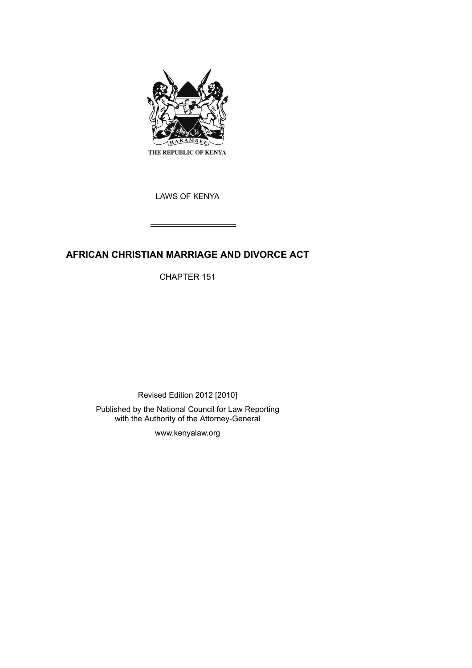

LAWS OF KENYA

# **AFRICAN CHRISTIAN MARRIAGE AND DIVORCE ACT**

CHAPTER 151

Revised Edition 2012 [2010]

Published by the National Council for Law Reporting with the Authority of the Attorney-General

www.kenyalaw.org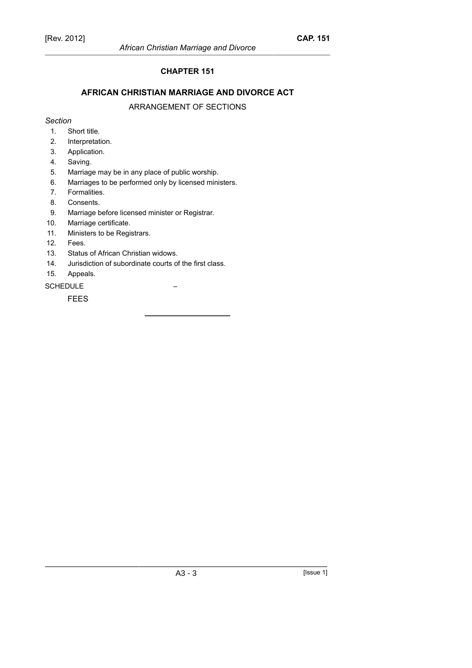# **CHAPTER 151**

# **AFRICAN CHRISTIAN MARRIAGE AND DIVORCE ACT**

## ARRANGEMENT OF SECTIONS

#### *Section*

- 1. Short title.
- 2. Interpretation.
- 3. Application.
- 4. Saving.
- 5. Marriage may be in any place of public worship.
- 6. Marriages to be performed only by licensed ministers.
- 7. Formalities.
- 8. Consents.
- 9. Marriage before licensed minister or Registrar.
- 10. Marriage certificate.
- 11. Ministers to be Registrars.
- 12. Fees.
- 13. Status of African Christian widows.
- 14. Jurisdiction of subordinate courts of the first class.
- 15. Appeals.

# SCHEDULE –

FEES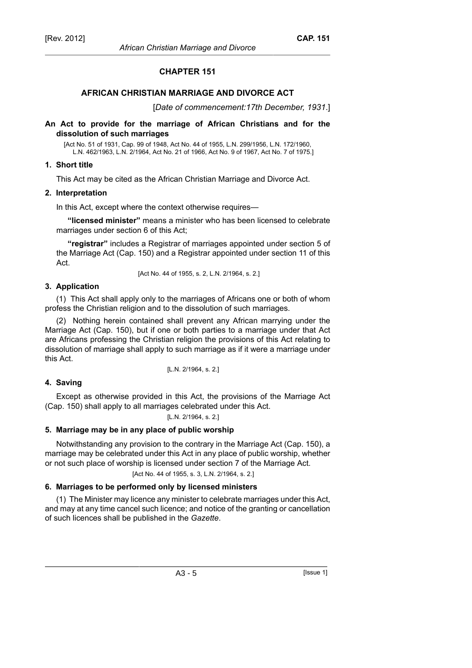# **CHAPTER 151**

#### **AFRICAN CHRISTIAN MARRIAGE AND DIVORCE ACT**

[*Date of commencement:17th December, 1931*.]

#### **An Act to provide for the marriage of African Christians and for the dissolution of such marriages**

[Act No. 51 of 1931, Cap. 99 of 1948, Act No. 44 of 1955, L.N. 299/1956, L.N. 172/1960, L.N. 462/1963, L.N. 2/1964, Act No. 21 of 1966, Act No. 9 of 1967, Act No. 7 of 1975.]

#### **1. Short title**

This Act may be cited as the African Christian Marriage and Divorce Act.

#### **2. Interpretation**

In this Act, except where the context otherwise requires—

**"licensed minister"** means a minister who has been licensed to celebrate marriages under section 6 of this Act;

**"registrar"** includes a Registrar of marriages appointed under section 5 of the Marriage Act (Cap. 150) and a Registrar appointed under section 11 of this Act.

[Act No. 44 of 1955, s. 2, L.N. 2/1964, s. 2.]

#### **3. Application**

(1) This Act shall apply only to the marriages of Africans one or both of whom profess the Christian religion and to the dissolution of such marriages.

(2) Nothing herein contained shall prevent any African marrying under the Marriage Act (Cap. 150), but if one or both parties to a marriage under that Act are Africans professing the Christian religion the provisions of this Act relating to dissolution of marriage shall apply to such marriage as if it were a marriage under this Act.

[L.N. 2/1964, s. 2.]

## **4. Saving**

Except as otherwise provided in this Act, the provisions of the Marriage Act (Cap. 150) shall apply to all marriages celebrated under this Act.

[L.N. 2/1964, s. 2.]

## **5. Marriage may be in any place of public worship**

Notwithstanding any provision to the contrary in the Marriage Act (Cap. 150), a marriage may be celebrated under this Act in any place of public worship, whether or not such place of worship is licensed under section 7 of the Marriage Act.

[Act No. 44 of 1955, s. 3, L.N. 2/1964, s. 2.]

## **6. Marriages to be performed only by licensed ministers**

(1) The Minister may licence any minister to celebrate marriages under this Act, and may at any time cancel such licence; and notice of the granting or cancellation of such licences shall be published in the *Gazette*.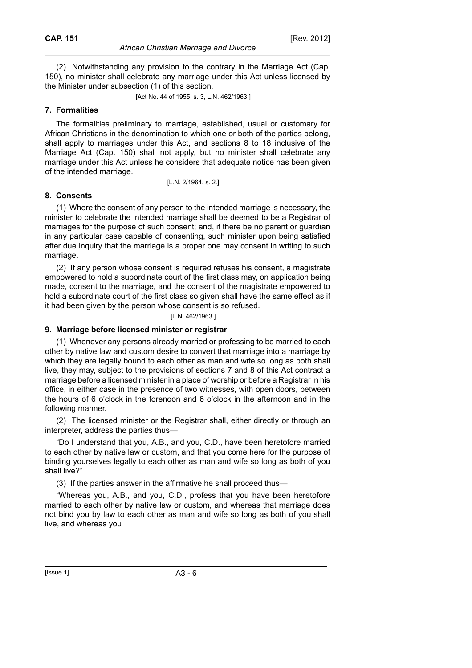(2) Notwithstanding any provision to the contrary in the Marriage Act (Cap. 150), no minister shall celebrate any marriage under this Act unless licensed by the Minister under subsection (1) of this section.

[Act No. 44 of 1955, s. 3, L.N. 462/1963.]

## **7. Formalities**

The formalities preliminary to marriage, established, usual or customary for African Christians in the denomination to which one or both of the parties belong, shall apply to marriages under this Act, and sections 8 to 18 inclusive of the Marriage Act (Cap. 150) shall not apply, but no minister shall celebrate any marriage under this Act unless he considers that adequate notice has been given of the intended marriage.

[L.N. 2/1964, s. 2.]

## **8. Consents**

(1) Where the consent of any person to the intended marriage is necessary, the minister to celebrate the intended marriage shall be deemed to be a Registrar of marriages for the purpose of such consent; and, if there be no parent or guardian in any particular case capable of consenting, such minister upon being satisfied after due inquiry that the marriage is a proper one may consent in writing to such marriage.

(2) If any person whose consent is required refuses his consent, a magistrate empowered to hold a subordinate court of the first class may, on application being made, consent to the marriage, and the consent of the magistrate empowered to hold a subordinate court of the first class so given shall have the same effect as if it had been given by the person whose consent is so refused.

[L.N. 462/1963.]

## **9. Marriage before licensed minister or registrar**

(1) Whenever any persons already married or professing to be married to each other by native law and custom desire to convert that marriage into a marriage by which they are legally bound to each other as man and wife so long as both shall live, they may, subject to the provisions of sections 7 and 8 of this Act contract a marriage before a licensed minister in a place of worship or before a Registrar in his office, in either case in the presence of two witnesses, with open doors, between the hours of 6 o'clock in the forenoon and 6 o'clock in the afternoon and in the following manner.

(2) The licensed minister or the Registrar shall, either directly or through an interpreter, address the parties thus—

"Do I understand that you, A.B., and you, C.D., have been heretofore married to each other by native law or custom, and that you come here for the purpose of binding yourselves legally to each other as man and wife so long as both of you shall live?"

(3) If the parties answer in the affirmative he shall proceed thus—

"Whereas you, A.B., and you, C.D., profess that you have been heretofore married to each other by native law or custom, and whereas that marriage does not bind you by law to each other as man and wife so long as both of you shall live, and whereas you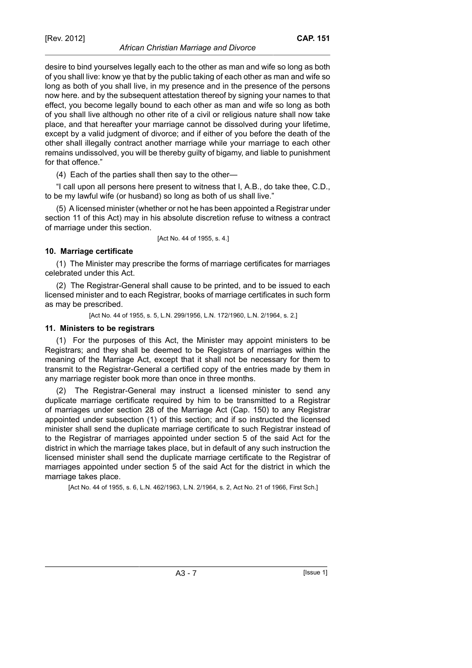desire to bind yourselves legally each to the other as man and wife so long as both of you shall live: know ye that by the public taking of each other as man and wife so long as both of you shall live, in my presence and in the presence of the persons now here. and by the subsequent attestation thereof by signing your names to that effect, you become legally bound to each other as man and wife so long as both of you shall live although no other rite of a civil or religious nature shall now take place, and that hereafter your marriage cannot be dissolved during your lifetime, except by a valid judgment of divorce; and if either of you before the death of the other shall illegally contract another marriage while your marriage to each other remains undissolved, you will be thereby guilty of bigamy, and liable to punishment for that offence."

(4) Each of the parties shall then say to the other—

"I call upon all persons here present to witness that I, A.B., do take thee, C.D., to be my lawful wife (or husband) so long as both of us shall live."

(5) A licensed minister (whether or not he has been appointed a Registrar under section 11 of this Act) may in his absolute discretion refuse to witness a contract of marriage under this section.

[Act No. 44 of 1955, s. 4.]

# **10. Marriage certificate**

(1) The Minister may prescribe the forms of marriage certificates for marriages celebrated under this Act.

(2) The Registrar-General shall cause to be printed, and to be issued to each licensed minister and to each Registrar, books of marriage certificates in such form as may be prescribed.

[Act No. 44 of 1955, s. 5, L.N. 299/1956, L.N. 172/1960, L.N. 2/1964, s. 2.]

# **11. Ministers to be registrars**

(1) For the purposes of this Act, the Minister may appoint ministers to be Registrars; and they shall be deemed to be Registrars of marriages within the meaning of the Marriage Act, except that it shall not be necessary for them to transmit to the Registrar-General a certified copy of the entries made by them in any marriage register book more than once in three months.

The Registrar-General may instruct a licensed minister to send any duplicate marriage certificate required by him to be transmitted to a Registrar of marriages under section 28 of the Marriage Act (Cap. 150) to any Registrar appointed under subsection (1) of this section; and if so instructed the licensed minister shall send the duplicate marriage certificate to such Registrar instead of to the Registrar of marriages appointed under section 5 of the said Act for the district in which the marriage takes place, but in default of any such instruction the licensed minister shall send the duplicate marriage certificate to the Registrar of marriages appointed under section 5 of the said Act for the district in which the marriage takes place.

[Act No. 44 of 1955, s. 6, L.N. 462/1963, L.N. 2/1964, s. 2, Act No. 21 of 1966, First Sch.]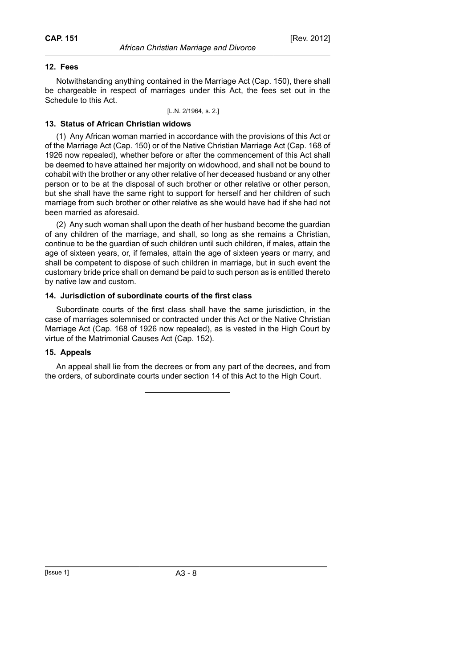#### **12. Fees**

Notwithstanding anything contained in the Marriage Act (Cap. 150), there shall be chargeable in respect of marriages under this Act, the fees set out in the Schedule to this Act.

[L.N. 2/1964, s. 2.]

#### **13. Status of African Christian widows**

(1) Any African woman married in accordance with the provisions of this Act or of the Marriage Act (Cap. 150) or of the Native Christian Marriage Act (Cap. 168 of 1926 now repealed), whether before or after the commencement of this Act shall be deemed to have attained her majority on widowhood, and shall not be bound to cohabit with the brother or any other relative of her deceased husband or any other person or to be at the disposal of such brother or other relative or other person, but she shall have the same right to support for herself and her children of such marriage from such brother or other relative as she would have had if she had not been married as aforesaid.

(2) Any such woman shall upon the death of her husband become the guardian of any children of the marriage, and shall, so long as she remains a Christian, continue to be the guardian of such children until such children, if males, attain the age of sixteen years, or, if females, attain the age of sixteen years or marry, and shall be competent to dispose of such children in marriage, but in such event the customary bride price shall on demand be paid to such person as is entitled thereto by native law and custom.

#### **14. Jurisdiction of subordinate courts of the first class**

Subordinate courts of the first class shall have the same jurisdiction, in the case of marriages solemnised or contracted under this Act or the Native Christian Marriage Act (Cap. 168 of 1926 now repealed), as is vested in the High Court by virtue of the Matrimonial Causes Act (Cap. 152).

## **15. Appeals**

An appeal shall lie from the decrees or from any part of the decrees, and from the orders, of subordinate courts under section 14 of this Act to the High Court.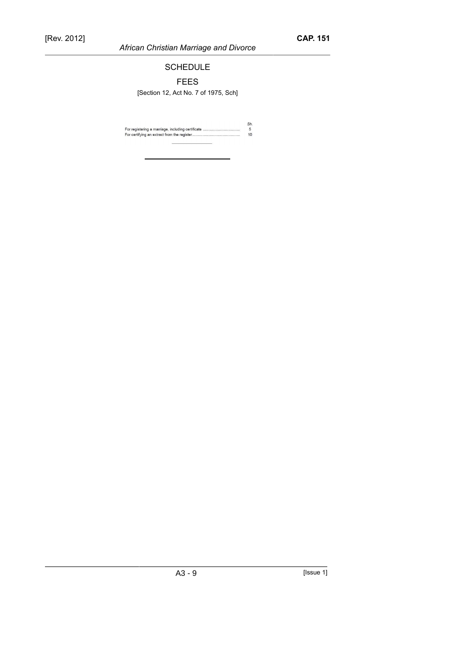*African Christian Marriage and Divorce*

SCHEDULE

FEES

[Section 12, Act No. 7 of 1975, Sch]

 $rac{Sh.}{f}$ <br> $rac{Sh.}{f}$  $\overline{\phantom{a}}$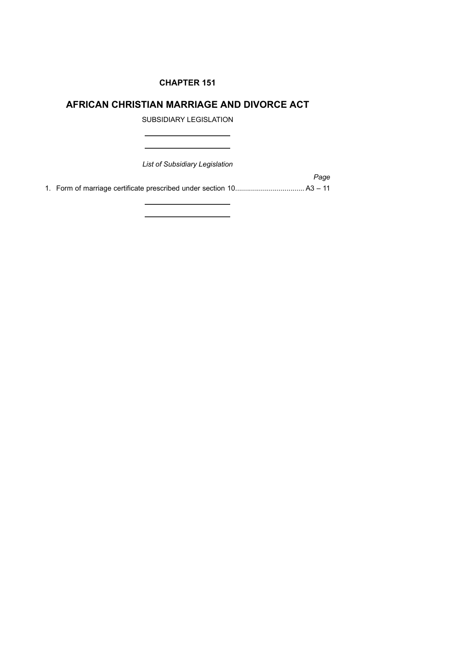# **CHAPTER 151**

# **AFRICAN CHRISTIAN MARRIAGE AND DIVORCE ACT**

SUBSIDIARY LEGISLATION

*List of Subsidiary Legislation*

 $\overline{\phantom{a}}$ 

*Page*

1. Form of marriage certificate prescribed under section 10................................... A3 – 11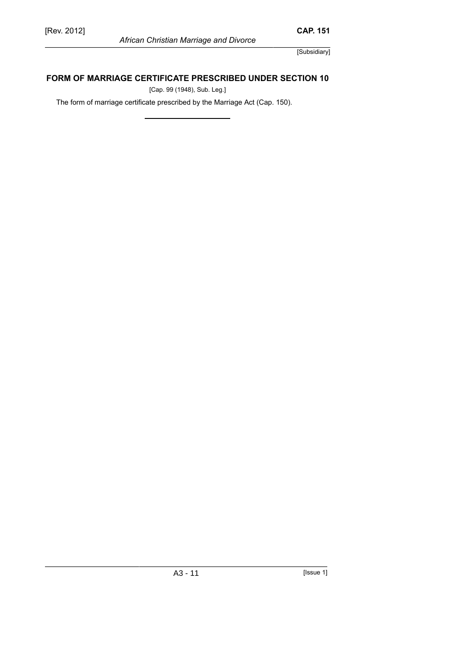[Subsidiary]

# **FORM OF MARRIAGE CERTIFICATE PRESCRIBED UNDER SECTION 10**

[Cap. 99 (1948), Sub. Leg.]

The form of marriage certificate prescribed by the Marriage Act (Cap. 150).